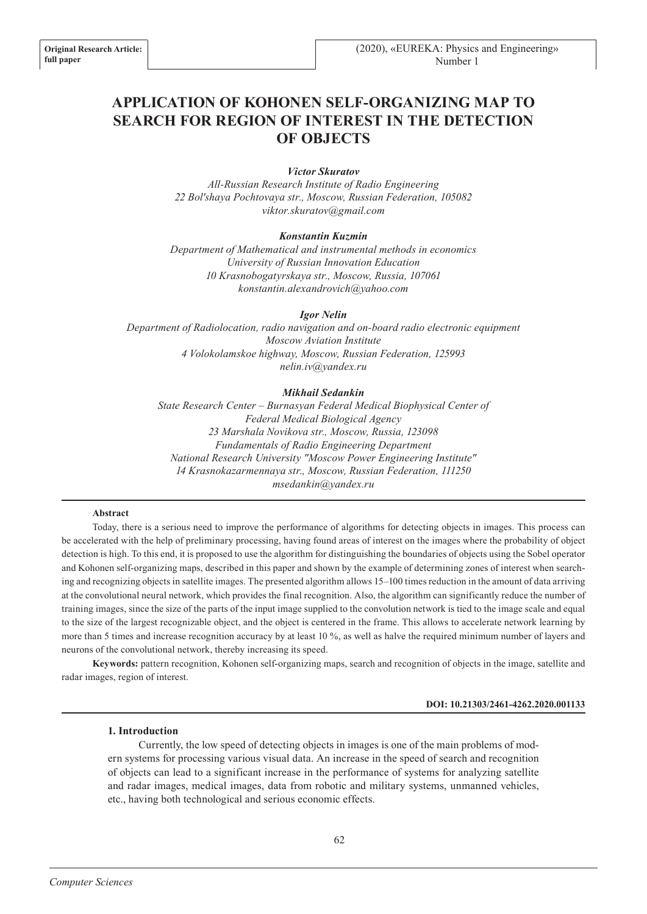# **APPLICATION OF KOHONEN SELF-ORGANIZING MAP TO SEARCH FOR REGION OF INTEREST IN THE DETECTION OF OBJECTS**

## *Victor Skuratov*

*All-Russian Research Institute of Radio Engineering 22 Bol'shaya Pochtovaya str., Moscow, Russian Federation, 105082 viktor.skuratov@gmail.com*

## *Konstantin Kuzmin*

*Department of Mathematical and instrumental methods in economics University of Russian Innovation Education 10 Krasnobogatyrskaya str., Moscow, Russia, 107061 konstantin.alexandrovich@yahoo.com*

#### *Igor Nelin*

*Department of Radiolocation, radio navigation and on-board radio electronic equipment Moscow Aviation Institute 4 Volokolamskoe highway, Moscow, Russian Federation, 125993 nelin.iv@yandex.ru*

## *Mikhail Sedankin*

*State Research Center – Burnasyan Federal Medical Biophysical Center of Federal Medical Biological Agency 23 Marshala Novikova str., Moscow, Russia, 123098 Fundamentals of Radio Engineering Department National Research University "Moscow Power Engineering Institute" 14 Krasnokazarmennaya str., Moscow, Russian Federation, 111250 msedankin@yandex.ru*

## **Abstract**

Today, there is a serious need to improve the performance of algorithms for detecting objects in images. This process can be accelerated with the help of preliminary processing, having found areas of interest on the images where the probability of object detection is high. To this end, it is proposed to use the algorithm for distinguishing the boundaries of objects using the Sobel operator and Kohonen self-organizing maps, described in this paper and shown by the example of determining zones of interest when searching and recognizing objects in satellite images. The presented algorithm allows 15–100 times reduction in the amount of data arriving at the convolutional neural network, which provides the final recognition. Also, the algorithm can significantly reduce the number of training images, since the size of the parts of the input image supplied to the convolution network is tied to the image scale and equal to the size of the largest recognizable object, and the object is centered in the frame. This allows to accelerate network learning by more than 5 times and increase recognition accuracy by at least 10 %, as well as halve the required minimum number of layers and neurons of the convolutional network, thereby increasing its speed.

**Keywords:** pattern recognition, Kohonen self-organizing maps, search and recognition of objects in the image, satellite and radar images, region of interest.

#### **DOI: 10.21303/2461-4262.2020.001133**

#### **1. Introduction**

Currently, the low speed of detecting objects in images is one of the main problems of modern systems for processing various visual data. An increase in the speed of search and recognition of objects can lead to a significant increase in the performance of systems for analyzing satellite and radar images, medical images, data from robotic and military systems, unmanned vehicles, etc., having both technological and serious economic effects.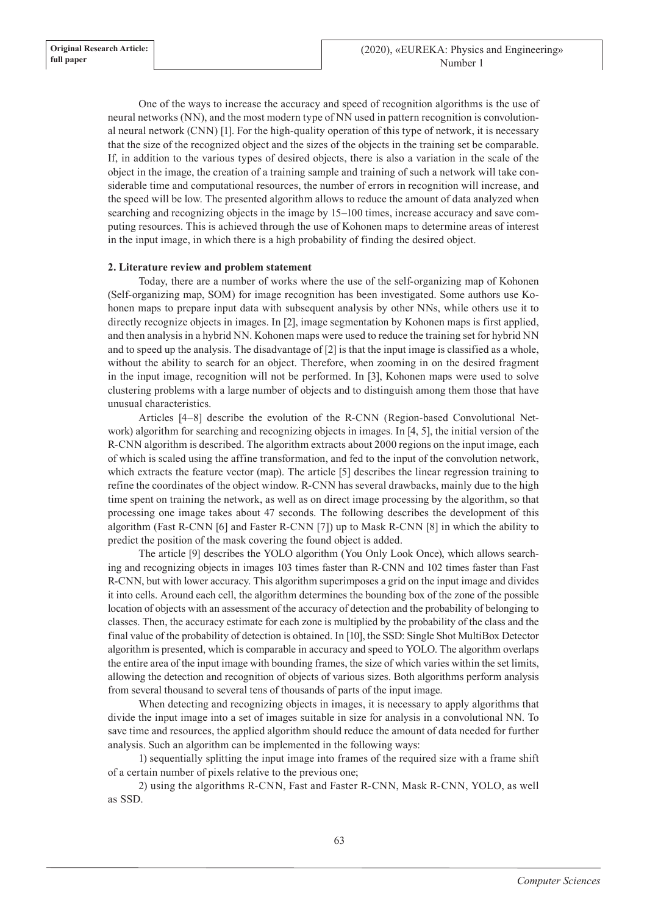One of the ways to increase the accuracy and speed of recognition algorithms is the use of neural networks (NN), and the most modern type of NN used in pattern recognition is convolutional neural network (CNN) [1]. For the high-quality operation of this type of network, it is necessary that the size of the recognized object and the sizes of the objects in the training set be comparable. If, in addition to the various types of desired objects, there is also a variation in the scale of the object in the image, the creation of a training sample and training of such a network will take considerable time and computational resources, the number of errors in recognition will increase, and the speed will be low. The presented algorithm allows to reduce the amount of data analyzed when searching and recognizing objects in the image by 15–100 times, increase accuracy and save computing resources. This is achieved through the use of Kohonen maps to determine areas of interest in the input image, in which there is a high probability of finding the desired object.

# **2. Literature review and problem statement**

Today, there are a number of works where the use of the self-organizing map of Kohonen (Self-organizing map, SOM) for image recognition has been investigated. Some authors use Kohonen maps to prepare input data with subsequent analysis by other NNs, while others use it to directly recognize objects in images. In [2], image segmentation by Kohonen maps is first applied, and then analysis in a hybrid NN. Kohonen maps were used to reduce the training set for hybrid NN and to speed up the analysis. The disadvantage of [2] is that the input image is classified as a whole, without the ability to search for an object. Therefore, when zooming in on the desired fragment in the input image, recognition will not be performed. In [3], Kohonen maps were used to solve clustering problems with a large number of objects and to distinguish among them those that have unusual characteristics.

Articles [4–8] describe the evolution of the R-CNN (Region-based Convolutional Network) algorithm for searching and recognizing objects in images. In [4, 5], the initial version of the R-CNN algorithm is described. The algorithm extracts about 2000 regions on the input image, each of which is scaled using the affine transformation, and fed to the input of the convolution network, which extracts the feature vector (map). The article [5] describes the linear regression training to refine the coordinates of the object window. R-CNN has several drawbacks, mainly due to the high time spent on training the network, as well as on direct image processing by the algorithm, so that processing one image takes about 47 seconds. The following describes the development of this algorithm (Fast R-CNN [6] and Faster R-CNN [7]) up to Mask R-CNN [8] in which the ability to predict the position of the mask covering the found object is added.

The article [9] describes the YOLO algorithm (You Only Look Once), which allows searching and recognizing objects in images 103 times faster than R-CNN and 102 times faster than Fast R-CNN, but with lower accuracy. This algorithm superimposes a grid on the input image and divides it into cells. Around each cell, the algorithm determines the bounding box of the zone of the possible location of objects with an assessment of the accuracy of detection and the probability of belonging to classes. Then, the accuracy estimate for each zone is multiplied by the probability of the class and the final value of the probability of detection is obtained. In [10], the SSD: Single Shot MultiBox Detector algorithm is presented, which is comparable in accuracy and speed to YOLO. The algorithm overlaps the entire area of the input image with bounding frames, the size of which varies within the set limits, allowing the detection and recognition of objects of various sizes. Both algorithms perform analysis from several thousand to several tens of thousands of parts of the input image.

When detecting and recognizing objects in images, it is necessary to apply algorithms that divide the input image into a set of images suitable in size for analysis in a convolutional NN. To save time and resources, the applied algorithm should reduce the amount of data needed for further analysis. Such an algorithm can be implemented in the following ways:

1) sequentially splitting the input image into frames of the required size with a frame shift of a certain number of pixels relative to the previous one;

2) using the algorithms R-CNN, Fast and Faster R-CNN, Mask R-CNN, YOLO, as well as SSD.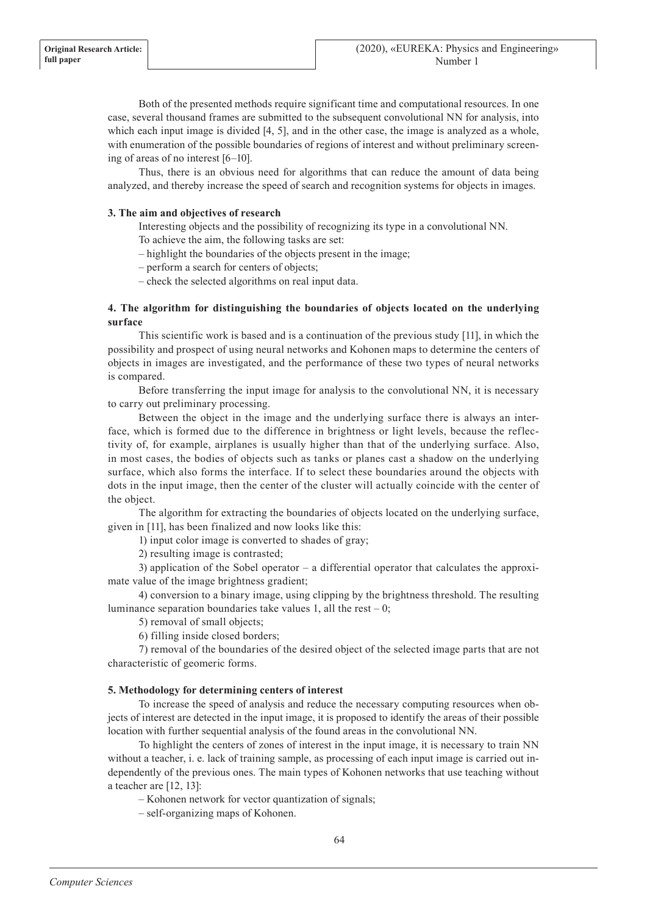Both of the presented methods require significant time and computational resources. In one case, several thousand frames are submitted to the subsequent convolutional NN for analysis, into which each input image is divided [4, 5], and in the other case, the image is analyzed as a whole, with enumeration of the possible boundaries of regions of interest and without preliminary screening of areas of no interest [6–10].

Thus, there is an obvious need for algorithms that can reduce the amount of data being analyzed, and thereby increase the speed of search and recognition systems for objects in images.

## **3. The aim and objectives of research**

Interesting objects and the possibility of recognizing its type in a convolutional NN. To achieve the aim, the following tasks are set:

– highlight the boundaries of the objects present in the image;

– perform a search for centers of objects;

– check the selected algorithms on real input data.

# **4. The algorithm for distinguishing the boundaries of objects located on the underlying surface**

This scientific work is based and is a continuation of the previous study [11], in which the possibility and prospect of using neural networks and Kohonen maps to determine the centers of objects in images are investigated, and the performance of these two types of neural networks is compared.

Before transferring the input image for analysis to the convolutional NN, it is necessary to carry out preliminary processing.

Between the object in the image and the underlying surface there is always an interface, which is formed due to the difference in brightness or light levels, because the reflectivity of, for example, airplanes is usually higher than that of the underlying surface. Also, in most cases, the bodies of objects such as tanks or planes cast a shadow on the underlying surface, which also forms the interface. If to select these boundaries around the objects with dots in the input image, then the center of the cluster will actually coincide with the center of the object.

The algorithm for extracting the boundaries of objects located on the underlying surface, given in [11], has been finalized and now looks like this:

1) input color image is converted to shades of gray;

2) resulting image is contrasted;

3) application of the Sobel operator – a differential operator that calculates the approximate value of the image brightness gradient;

4) conversion to a binary image, using clipping by the brightness threshold. The resulting luminance separation boundaries take values 1, all the rest  $-0$ ;

5) removal of small objects;

6) filling inside closed borders;

7) removal of the boundaries of the desired object of the selected image parts that are not characteristic of geomeric forms.

## **5. Methodology for determining centers of interest**

To increase the speed of analysis and reduce the necessary computing resources when objects of interest are detected in the input image, it is proposed to identify the areas of their possible location with further sequential analysis of the found areas in the convolutional NN.

To highlight the centers of zones of interest in the input image, it is necessary to train NN without a teacher, i. e. lack of training sample, as processing of each input image is carried out independently of the previous ones. The main types of Kohonen networks that use teaching without a teacher are [12, 13]:

– Kohonen network for vector quantization of signals;

– self-organizing maps of Kohonen.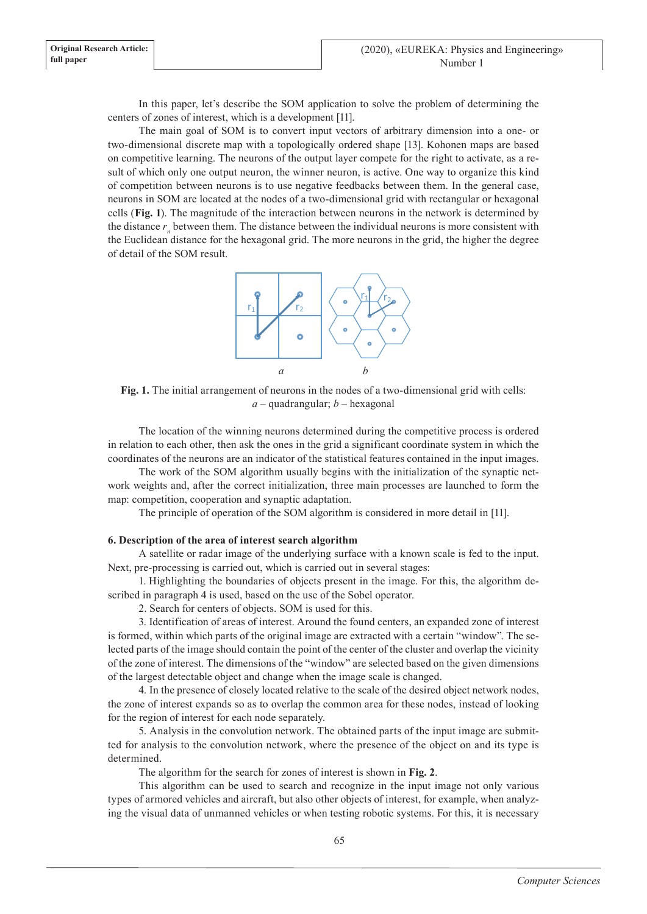In this paper, let's describe the SOM application to solve the problem of determining the centers of zones of interest, which is a development [11].

The main goal of SOM is to convert input vectors of arbitrary dimension into a one- or two-dimensional discrete map with a topologically ordered shape [13]. Kohonen maps are based on competitive learning. The neurons of the output layer compete for the right to activate, as a result of which only one output neuron, the winner neuron, is active. One way to organize this kind of competition between neurons is to use negative feedbacks between them. In the general case, neurons in SOM are located at the nodes of a two-dimensional grid with rectangular or hexagonal cells (**Fig. 1**). The magnitude of the interaction between neurons in the network is determined by the distance  $r_n$  between them. The distance between the individual neurons is more consistent with the Euclidean distance for the hexagonal grid. The more neurons in the grid, the higher the degree of detail of the SOM result.



**Fig. 1.** The initial arrangement of neurons in the nodes of a two-dimensional grid with cells: *a* – quadrangular; *b* – hexagonal

The location of the winning neurons determined during the competitive process is ordered in relation to each other, then ask the ones in the grid a significant coordinate system in which the coordinates of the neurons are an indicator of the statistical features contained in the input images.

The work of the SOM algorithm usually begins with the initialization of the synaptic network weights and, after the correct initialization, three main processes are launched to form the map: competition, cooperation and synaptic adaptation.

The principle of operation of the SOM algorithm is considered in more detail in [11].

# **6. Description of the area of interest search algorithm**

A satellite or radar image of the underlying surface with a known scale is fed to the input. Next, pre-processing is carried out, which is carried out in several stages:

1. Highlighting the boundaries of objects present in the image. For this, the algorithm described in paragraph 4 is used, based on the use of the Sobel operator.

2. Search for centers of objects. SOM is used for this.

3. Identification of areas of interest. Around the found centers, an expanded zone of interest is formed, within which parts of the original image are extracted with a certain "window". The selected parts of the image should contain the point of the center of the cluster and overlap the vicinity of the zone of interest. The dimensions of the "window" are selected based on the given dimensions of the largest detectable object and change when the image scale is changed.

4. In the presence of closely located relative to the scale of the desired object network nodes, the zone of interest expands so as to overlap the common area for these nodes, instead of looking for the region of interest for each node separately.

5. Analysis in the convolution network. The obtained parts of the input image are submitted for analysis to the convolution network, where the presence of the object on and its type is determined.

The algorithm for the search for zones of interest is shown in **Fig. 2**.

This algorithm can be used to search and recognize in the input image not only various types of armored vehicles and aircraft, but also other objects of interest, for example, when analyzing the visual data of unmanned vehicles or when testing robotic systems. For this, it is necessary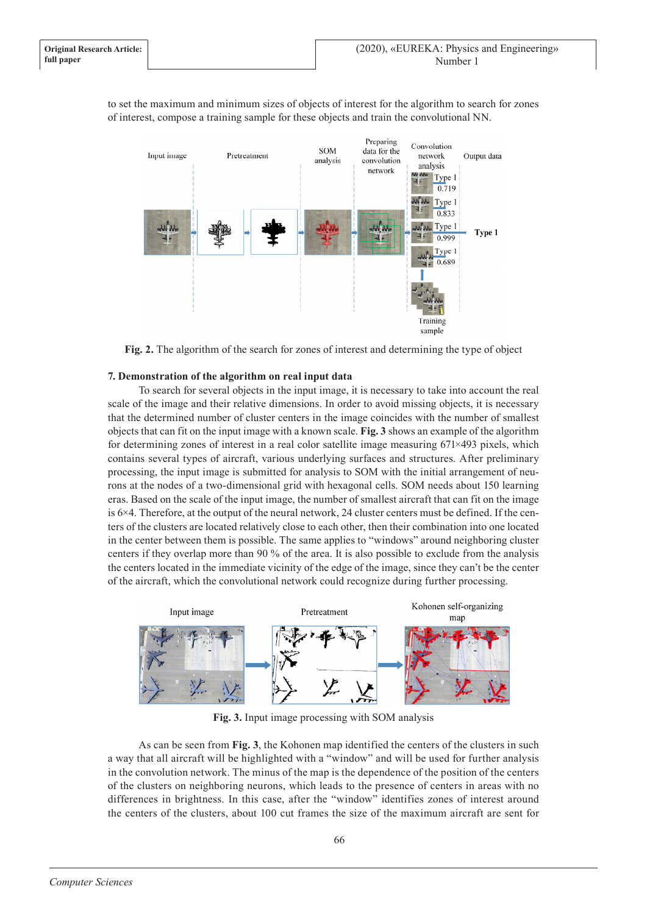

to set the maximum and minimum sizes of objects of interest for the algorithm to search for zones of interest, compose a training sample for these objects and train the convolutional NN.



# **7. Demonstration of the algorithm on real input data**

To search for several objects in the input image, it is necessary to take into account the real scale of the image and their relative dimensions. In order to avoid missing objects, it is necessary that the determined number of cluster centers in the image coincides with the number of smallest objects that can fit on the input image with a known scale. **Fig. 3** shows an example of the algorithm for determining zones of interest in a real color satellite image measuring 671×493 pixels, which contains several types of aircraft, various underlying surfaces and structures. After preliminary processing, the input image is submitted for analysis to SOM with the initial arrangement of neurons at the nodes of a two-dimensional grid with hexagonal cells. SOM needs about 150 learning eras. Based on the scale of the input image, the number of smallest aircraft that can fit on the image is  $6\times4$ . Therefore, at the output of the neural network, 24 cluster centers must be defined. If the centers of the clusters are located relatively close to each other, then their combination into one located in the center between them is possible. The same applies to "windows" around neighboring cluster centers if they overlap more than 90 % of the area. It is also possible to exclude from the analysis the centers located in the immediate vicinity of the edge of the image, since they can't be the center of the aircraft, which the convolutional network could recognize during further processing.



**Fig. 3.** Input image processing with SOM analysis

As can be seen from **Fig. 3**, the Kohonen map identified the centers of the clusters in such a way that all aircraft will be highlighted with a "window" and will be used for further analysis in the convolution network. The minus of the map is the dependence of the position of the centers of the clusters on neighboring neurons, which leads to the presence of centers in areas with no differences in brightness. In this case, after the "window" identifies zones of interest around the centers of the clusters, about 100 cut frames the size of the maximum aircraft are sent for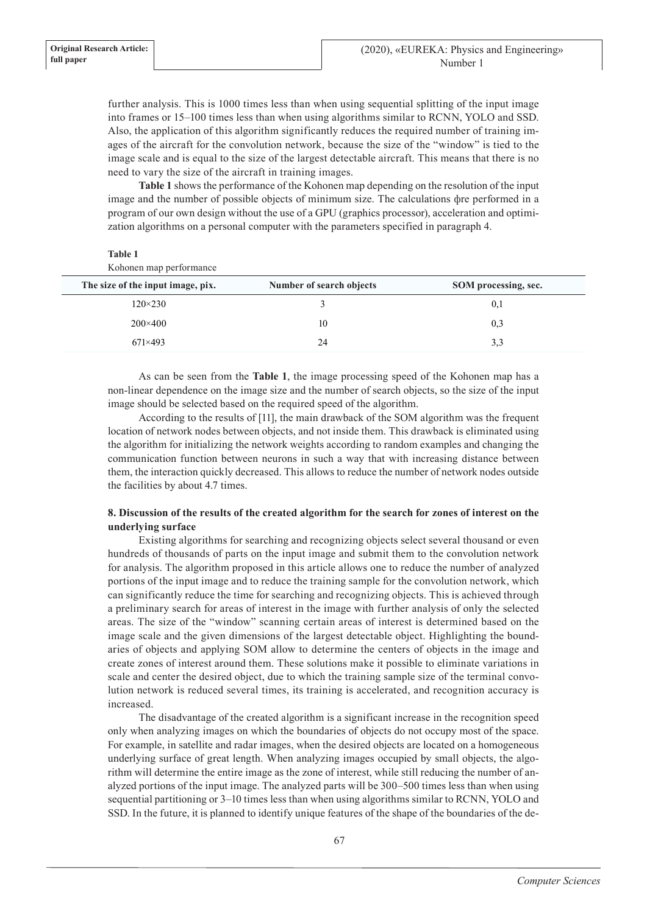**Table 1**

further analysis. This is 1000 times less than when using sequential splitting of the input image into frames or 15–100 times less than when using algorithms similar to RCNN, YOLO and SSD. Also, the application of this algorithm significantly reduces the required number of training images of the aircraft for the convolution network, because the size of the "window" is tied to the image scale and is equal to the size of the largest detectable aircraft. This means that there is no need to vary the size of the aircraft in training images.

**Table 1** shows the performance of the Kohonen map depending on the resolution of the input image and the number of possible objects of minimum size. The calculations фre performed in a program of our own design without the use of a GPU (graphics processor), acceleration and optimization algorithms on a personal computer with the parameters specified in paragraph 4.

| таріє т<br>Kohonen map performance |                          |                      |  |
|------------------------------------|--------------------------|----------------------|--|
| The size of the input image, pix.  | Number of search objects | SOM processing, sec. |  |
| $120 \times 230$                   |                          | 0,1                  |  |
| $200 \times 400$                   | 10                       | 0,3                  |  |
| $671\times493$                     | 24                       | 3,3                  |  |
|                                    |                          |                      |  |

As can be seen from the **Table 1**, the image processing speed of the Kohonen map has a non-linear dependence on the image size and the number of search objects, so the size of the input image should be selected based on the required speed of the algorithm.

According to the results of [11], the main drawback of the SOM algorithm was the frequent location of network nodes between objects, and not inside them. This drawback is eliminated using the algorithm for initializing the network weights according to random examples and changing the communication function between neurons in such a way that with increasing distance between them, the interaction quickly decreased. This allows to reduce the number of network nodes outside the facilities by about 4.7 times.

# **8. Discussion of the results of the created algorithm for the search for zones of interest on the underlying surface**

Existing algorithms for searching and recognizing objects select several thousand or even hundreds of thousands of parts on the input image and submit them to the convolution network for analysis. The algorithm proposed in this article allows one to reduce the number of analyzed portions of the input image and to reduce the training sample for the convolution network, which can significantly reduce the time for searching and recognizing objects. This is achieved through a preliminary search for areas of interest in the image with further analysis of only the selected areas. The size of the "window" scanning certain areas of interest is determined based on the image scale and the given dimensions of the largest detectable object. Highlighting the boundaries of objects and applying SOM allow to determine the centers of objects in the image and create zones of interest around them. These solutions make it possible to eliminate variations in scale and center the desired object, due to which the training sample size of the terminal convolution network is reduced several times, its training is accelerated, and recognition accuracy is increased.

The disadvantage of the created algorithm is a significant increase in the recognition speed only when analyzing images on which the boundaries of objects do not occupy most of the space. For example, in satellite and radar images, when the desired objects are located on a homogeneous underlying surface of great length. When analyzing images occupied by small objects, the algorithm will determine the entire image as the zone of interest, while still reducing the number of analyzed portions of the input image. The analyzed parts will be 300–500 times less than when using sequential partitioning or 3–10 times less than when using algorithms similar to RCNN, YOLO and SSD. In the future, it is planned to identify unique features of the shape of the boundaries of the de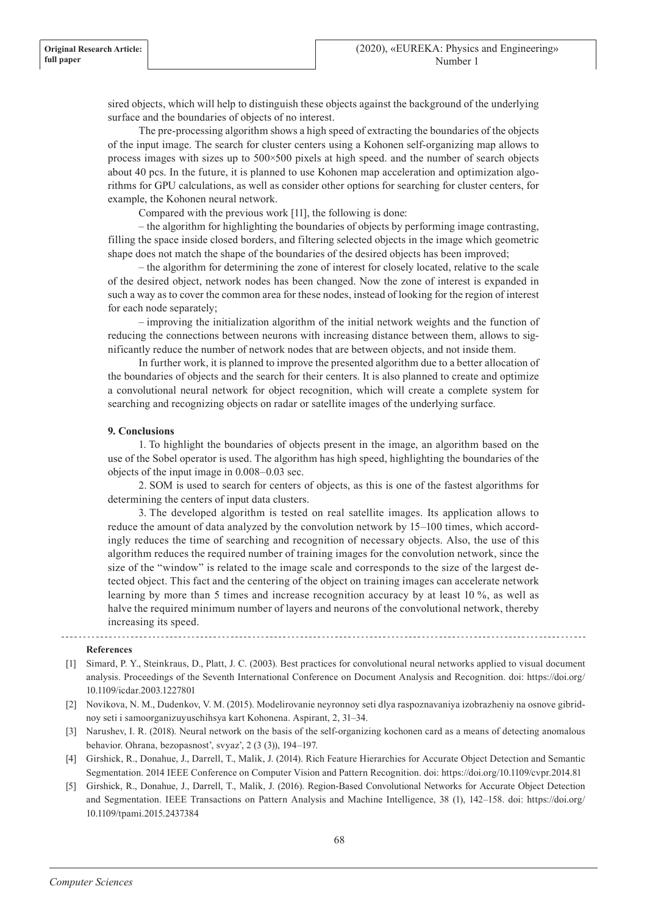sired objects, which will help to distinguish these objects against the background of the underlying surface and the boundaries of objects of no interest.

The pre-processing algorithm shows a high speed of extracting the boundaries of the objects of the input image. The search for cluster centers using a Kohonen self-organizing map allows to process images with sizes up to  $500 \times 500$  pixels at high speed. and the number of search objects about 40 pcs. In the future, it is planned to use Kohonen map acceleration and optimization algorithms for GPU calculations, as well as consider other options for searching for cluster centers, for example, the Kohonen neural network.

Compared with the previous work [11], the following is done:

– the algorithm for highlighting the boundaries of objects by performing image contrasting, filling the space inside closed borders, and filtering selected objects in the image which geometric shape does not match the shape of the boundaries of the desired objects has been improved;

– the algorithm for determining the zone of interest for closely located, relative to the scale of the desired object, network nodes has been changed. Now the zone of interest is expanded in such a way as to cover the common area for these nodes, instead of looking for the region of interest for each node separately;

– improving the initialization algorithm of the initial network weights and the function of reducing the connections between neurons with increasing distance between them, allows to significantly reduce the number of network nodes that are between objects, and not inside them.

In further work, it is planned to improve the presented algorithm due to a better allocation of the boundaries of objects and the search for their centers. It is also planned to create and optimize a convolutional neural network for object recognition, which will create a complete system for searching and recognizing objects on radar or satellite images of the underlying surface.

## **9. Conclusions**

1. To highlight the boundaries of objects present in the image, an algorithm based on the use of the Sobel operator is used. The algorithm has high speed, highlighting the boundaries of the objects of the input image in 0.008–0.03 sec.

2. SOM is used to search for centers of objects, as this is one of the fastest algorithms for determining the centers of input data clusters.

3. The developed algorithm is tested on real satellite images. Its application allows to reduce the amount of data analyzed by the convolution network by 15–100 times, which accordingly reduces the time of searching and recognition of necessary objects. Also, the use of this algorithm reduces the required number of training images for the convolution network, since the size of the "window" is related to the image scale and corresponds to the size of the largest detected object. This fact and the centering of the object on training images can accelerate network learning by more than 5 times and increase recognition accuracy by at least 10 %, as well as halve the required minimum number of layers and neurons of the convolutional network, thereby increasing its speed.

#### **References**

- [1] Simard, P. Y., Steinkraus, D., Platt, J. C. (2003). Best practices for convolutional neural networks applied to visual document analysis. Proceedings of the Seventh International Conference on Document Analysis and Recognition. doi: https://doi.org/ 10.1109/icdar.2003.1227801
- [2] Novikova, N. M., Dudenkov, V. M. (2015). Modelirovanie neyronnoy seti dlya raspoznavaniya izobrazheniy na osnove gibridnoy seti i samoorganizuyuschihsya kart Kohonena. Aspirant, 2, 31–34.
- [3] Narushev, I. R. (2018). Neural network on the basis of the self-organizing kochonen card as a means of detecting anomalous behavior. Ohrana, bezopasnost', svyaz', 2 (3 (3)), 194–197.
- [4] Girshick, R., Donahue, J., Darrell, T., Malik, J. (2014). Rich Feature Hierarchies for Accurate Object Detection and Semantic Segmentation. 2014 IEEE Conference on Computer Vision and Pattern Recognition. doi: https://doi.org/10.1109/cvpr.2014.81
- [5] Girshick, R., Donahue, J., Darrell, T., Malik, J. (2016). Region-Based Convolutional Networks for Accurate Object Detection and Segmentation. IEEE Transactions on Pattern Analysis and Machine Intelligence, 38 (1), 142–158. doi: https://doi.org/ 10.1109/tpami.2015.2437384